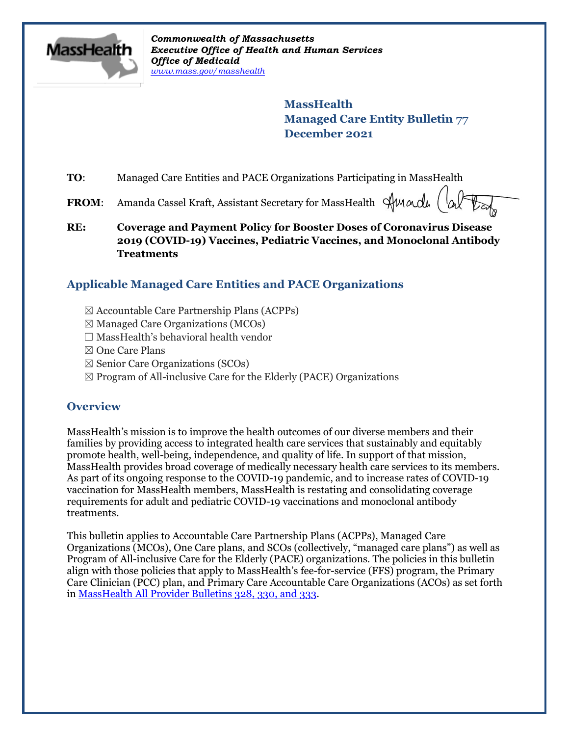

*Commonwealth of Massachusetts Executive Office of Health and Human Services Office of Medicaid [www.mass.gov/masshealth](http://www.mass.gov/masshealth)*

> **MassHealth Managed Care Entity Bulletin 77 December 2021**

**TO:** Managed Care Entities and PACE Organizations Participating in MassHealth

**FROM:** Amanda Cassel Kraft, Assistant Secretary for MassHealth *Almacult* 

**RE: Coverage and Payment Policy for Booster Doses of Coronavirus Disease 2019 (COVID-19) Vaccines, Pediatric Vaccines, and Monoclonal Antibody Treatments**

# **Applicable Managed Care Entities and PACE Organizations**

- ☒ Accountable Care Partnership Plans (ACPPs)
- $\boxtimes$  Managed Care Organizations (MCOs)
- ☐ MassHealth's behavioral health vendor
- ☒ One Care Plans
- ☒ Senior Care Organizations (SCOs)
- $\boxtimes$  Program of All-inclusive Care for the Elderly (PACE) Organizations

## **Overview**

MassHealth's mission is to improve the health outcomes of our diverse members and their families by providing access to integrated health care services that sustainably and equitably promote health, well-being, independence, and quality of life. In support of that mission, MassHealth provides broad coverage of medically necessary health care services to its members. As part of its ongoing response to the COVID-19 pandemic, and to increase rates of COVID-19 vaccination for MassHealth members, MassHealth is restating and consolidating coverage requirements for adult and pediatric COVID-19 vaccinations and monoclonal antibody treatments.

This bulletin applies to Accountable Care Partnership Plans (ACPPs), Managed Care Organizations (MCOs), One Care plans, and SCOs (collectively, "managed care plans") as well as Program of All-inclusive Care for the Elderly (PACE) organizations. The policies in this bulletin align with those policies that apply to MassHealth's fee-for-service (FFS) program, the Primary Care Clinician (PCC) plan, and Primary Care Accountable Care Organizations (ACOs) as set forth in [MassHealth All Provider Bulletins 328, 330, and 333.](https://www.mass.gov/lists/all-provider-bulletins)